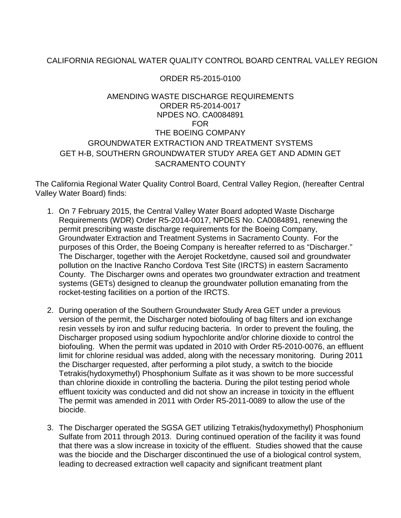## CALIFORNIA REGIONAL WATER QUALITY CONTROL BOARD CENTRAL VALLEY REGION

## ORDER R5-2015-0100

## AMENDING WASTE DISCHARGE REQUIREMENTS ORDER R5-2014-0017 NPDES NO. CA0084891 FOR THE BOEING COMPANY GROUNDWATER EXTRACTION AND TREATMENT SYSTEMS GET H-B, SOUTHERN GROUNDWATER STUDY AREA GET AND ADMIN GET SACRAMENTO COUNTY

The California Regional Water Quality Control Board, Central Valley Region, (hereafter Central Valley Water Board) finds:

- 1. On 7 February 2015, the Central Valley Water Board adopted Waste Discharge Requirements (WDR) Order R5-2014-0017, NPDES No. CA0084891, renewing the permit prescribing waste discharge requirements for the Boeing Company, Groundwater Extraction and Treatment Systems in Sacramento County. For the purposes of this Order, the Boeing Company is hereafter referred to as "Discharger." The Discharger, together with the Aerojet Rocketdyne, caused soil and groundwater pollution on the Inactive Rancho Cordova Test Site (IRCTS) in eastern Sacramento County. The Discharger owns and operates two groundwater extraction and treatment systems (GETs) designed to cleanup the groundwater pollution emanating from the rocket-testing facilities on a portion of the IRCTS.
- 2. During operation of the Southern Groundwater Study Area GET under a previous version of the permit, the Discharger noted biofouling of bag filters and ion exchange resin vessels by iron and sulfur reducing bacteria. In order to prevent the fouling, the Discharger proposed using sodium hypochlorite and/or chlorine dioxide to control the biofouling. When the permit was updated in 2010 with Order R5-2010-0076, an effluent limit for chlorine residual was added, along with the necessary monitoring. During 2011 the Discharger requested, after performing a pilot study, a switch to the biocide Tetrakis(hydoxymethyl) Phosphonium Sulfate as it was shown to be more successful than chlorine dioxide in controlling the bacteria. During the pilot testing period whole effluent toxicity was conducted and did not show an increase in toxicity in the effluent The permit was amended in 2011 with Order R5-2011-0089 to allow the use of the biocide.
- 3. The Discharger operated the SGSA GET utilizing Tetrakis(hydoxymethyl) Phosphonium Sulfate from 2011 through 2013. During continued operation of the facility it was found that there was a slow increase in toxicity of the effluent. Studies showed that the cause was the biocide and the Discharger discontinued the use of a biological control system, leading to decreased extraction well capacity and significant treatment plant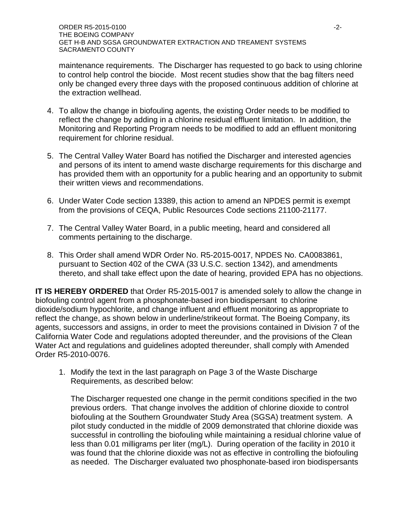maintenance requirements. The Discharger has requested to go back to using chlorine to control help control the biocide. Most recent studies show that the bag filters need only be changed every three days with the proposed continuous addition of chlorine at the extraction wellhead.

- 4. To allow the change in biofouling agents, the existing Order needs to be modified to reflect the change by adding in a chlorine residual effluent limitation. In addition, the Monitoring and Reporting Program needs to be modified to add an effluent monitoring requirement for chlorine residual.
- 5. The Central Valley Water Board has notified the Discharger and interested agencies and persons of its intent to amend waste discharge requirements for this discharge and has provided them with an opportunity for a public hearing and an opportunity to submit their written views and recommendations.
- 6. Under Water Code section 13389, this action to amend an NPDES permit is exempt from the provisions of CEQA, Public Resources Code sections 21100-21177.
- 7. The Central Valley Water Board, in a public meeting, heard and considered all comments pertaining to the discharge.
- 8. This Order shall amend WDR Order No. R5-2015-0017, NPDES No. CA0083861, pursuant to Section 402 of the CWA (33 U.S.C. section 1342), and amendments thereto, and shall take effect upon the date of hearing, provided EPA has no objections.

**IT IS HEREBY ORDERED** that Order R5-2015-0017 is amended solely to allow the change in biofouling control agent from a phosphonate-based iron biodispersant to chlorine dioxide/sodium hypochlorite, and change influent and effluent monitoring as appropriate to reflect the change, as shown below in underline/strikeout format. The Boeing Company, its agents, successors and assigns, in order to meet the provisions contained in Division 7 of the California Water Code and regulations adopted thereunder, and the provisions of the Clean Water Act and regulations and guidelines adopted thereunder, shall comply with Amended Order R5-2010-0076.

1. Modify the text in the last paragraph on Page 3 of the Waste Discharge Requirements, as described below:

The Discharger requested one change in the permit conditions specified in the two previous orders. That change involves the addition of chlorine dioxide to control biofouling at the Southern Groundwater Study Area (SGSA) treatment system. A pilot study conducted in the middle of 2009 demonstrated that chlorine dioxide was successful in controlling the biofouling while maintaining a residual chlorine value of less than 0.01 milligrams per liter (mg/L). During operation of the facility in 2010 it was found that the chlorine dioxide was not as effective in controlling the biofouling as needed. The Discharger evaluated two phosphonate-based iron biodispersants